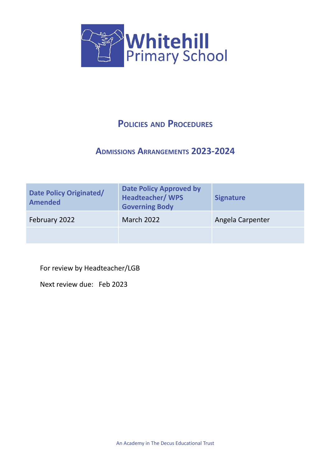

# **POLICIES AND PROCEDURES**

# **ADMISSIONS ARRANGEMENTS 2023-2024**

| <b>Date Policy Originated/</b><br><b>Amended</b> | <b>Date Policy Approved by</b><br><b>Headteacher/WPS</b><br><b>Governing Body</b> | <b>Signature</b> |
|--------------------------------------------------|-----------------------------------------------------------------------------------|------------------|
| February 2022                                    | <b>March 2022</b>                                                                 | Angela Carpenter |
|                                                  |                                                                                   |                  |

For review by Headteacher/LGB

Next review due: Feb 2023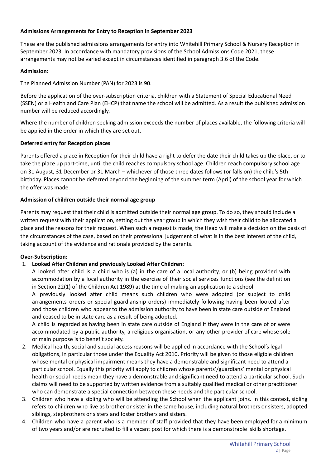# **Admissions Arrangements for Entry to Reception in September 2023**

These are the published admissions arrangements for entry into Whitehill Primary School & Nursery Reception in September 2023. In accordance with mandatory provisions of the School Admissions Code 2021, these arrangements may not be varied except in circumstances identified in paragraph 3.6 of the Code.

# **Admission:**

The Planned Admission Number (PAN) for 2023 is 90.

Before the application of the over-subscription criteria, children with a Statement of Special Educational Need (SSEN) or a Health and Care Plan (EHCP) that name the school will be admitted. As a result the published admission number will be reduced accordingly.

Where the number of children seeking admission exceeds the number of places available, the following criteria will be applied in the order in which they are set out.

#### **Deferred entry for Reception places**

Parents offered a place in Reception for their child have a right to defer the date their child takes up the place, or to take the place up part-time, until the child reaches compulsory school age. Children reach compulsory school age on 31 August, 31 December or 31 March – whichever of those three dates follows (or falls on) the child's 5th birthday. Places cannot be deferred beyond the beginning of the summer term (April) of the school year for which the offer was made.

#### **Admission of children outside their normal age group**

Parents may request that their child is admitted outside their normal age group. To do so, they should include a written request with their application, setting out the year group in which they wish their child to be allocated a place and the reasons for their request. When such a request is made, the Head will make a decision on the basis of the circumstances of the case, based on their professional judgement of what is in the best interest of the child, taking account of the evidence and rationale provided by the parents.

# **Over-Subscription:**

# 1. **Looked After Children and previously Looked After Children:**

A looked after child is a child who is (a) in the care of a local authority, or (b) being provided with accommodation by a local authority in the exercise of their social services functions (see the definition in Section 22(1) of the Children Act 1989) at the time of making an application to a school.

A previously looked after child means such children who were adopted (or subject to child arrangements orders or special guardianship orders) immediately following having been looked after and those children who appear to the admission authority to have been in state care outside of England and ceased to be in state care as a result of being adopted.

A child is regarded as having been in state care outside of England if they were in the care of or were accommodated by a public authority, a religious organisation, or any other provider of care whose sole or main purpose is to benefit society.

- 2. Medical health, social and special access reasons will be applied in accordance with the School's legal obligations, in particular those under the Equality Act 2010. Priority will be given to those eligible children whose mental or physical impairment means they have a demonstrable and significant need to attend a particular school. Equally this priority will apply to children whose parents'/guardians' mental or physical health or social needs mean they have a demonstrable and significant need to attend a particular school. Such claims will need to be supported by written evidence from a suitably qualified medical or other practitioner who can demonstrate a special connection between these needs and the particular school.
- 3. Children who have a sibling who will be attending the School when the applicant joins. In this context, sibling refers to children who live as brother or sister in the same house, including natural brothers or sisters, adopted siblings, stepbrothers or sisters and foster brothers and sisters.
- 4. Children who have a parent who is a member of staff provided that they have been employed for a minimum of two years and/or are recruited to fill a vacant post for which there is a demonstrable skills shortage.